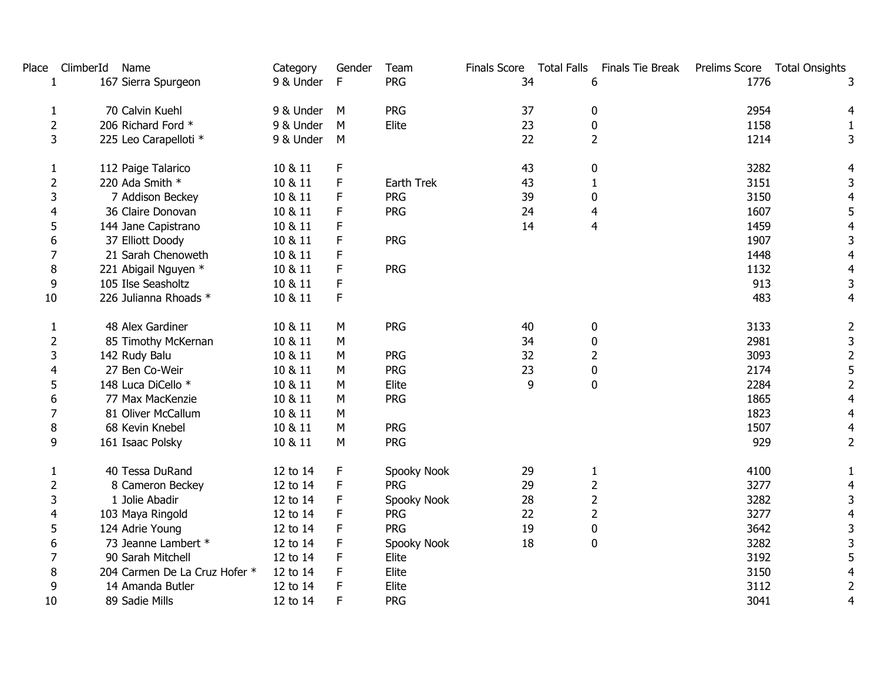| Place          | ClimberId<br>Name             | Category  | Gender | Team        |    | Finals Score Total Falls Finals Tie Break | Prelims Score Total Onsights |                         |
|----------------|-------------------------------|-----------|--------|-------------|----|-------------------------------------------|------------------------------|-------------------------|
|                | 167 Sierra Spurgeon           | 9 & Under | F      | <b>PRG</b>  | 34 | 6                                         | 1776                         | 3                       |
| 1              | 70 Calvin Kuehl               | 9 & Under | M      | <b>PRG</b>  | 37 | $\mathbf 0$                               | 2954                         | 4                       |
| $\overline{2}$ | 206 Richard Ford *            | 9 & Under | M      | Elite       | 23 | $\pmb{0}$                                 | 1158                         |                         |
| 3              | 225 Leo Carapelloti *         | 9 & Under | M      |             | 22 | $\overline{2}$                            | 1214                         | 3                       |
| 1              | 112 Paige Talarico            | 10 & 11   | F      |             | 43 | 0                                         | 3282                         | 4                       |
| $\overline{2}$ | 220 Ada Smith *               | 10 & 11   | F      | Earth Trek  | 43 | 1                                         | 3151                         | 3                       |
| 3              | 7 Addison Beckey              | 10 & 11   | F      | <b>PRG</b>  | 39 | $\mathbf 0$                               | 3150                         | $\overline{4}$          |
| 4              | 36 Claire Donovan             | 10 & 11   | F      | <b>PRG</b>  | 24 | 4                                         | 1607                         | 5                       |
| 5              | 144 Jane Capistrano           | 10 & 11   | F      |             | 14 | 4                                         | 1459                         | 4                       |
| 6              | 37 Elliott Doody              | 10 & 11   | F      | <b>PRG</b>  |    |                                           | 1907                         | 3                       |
| 7              | 21 Sarah Chenoweth            | 10 & 11   | F      |             |    |                                           | 1448                         | 4                       |
| 8              | 221 Abigail Nguyen *          | 10 & 11   | F      | <b>PRG</b>  |    |                                           | 1132                         | 4                       |
| 9              | 105 Ilse Seasholtz            | 10 & 11   | F      |             |    |                                           | 913                          | 3                       |
| 10             | 226 Julianna Rhoads *         | 10 & 11   | F      |             |    |                                           | 483                          | 4                       |
| 1              | 48 Alex Gardiner              | 10 & 11   | M      | <b>PRG</b>  | 40 | $\mathbf 0$                               | 3133                         | $\overline{2}$          |
| $\overline{2}$ | 85 Timothy McKernan           | 10 & 11   | М      |             | 34 | 0                                         | 2981                         | 3                       |
| 3              | 142 Rudy Balu                 | 10 & 11   | М      | PRG         | 32 | 2                                         | 3093                         | $\mathbf 2$             |
| 4              | 27 Ben Co-Weir                | 10 & 11   | М      | <b>PRG</b>  | 23 | $\mathbf 0$                               | 2174                         | 5                       |
| 5              | 148 Luca DiCello *            | 10 & 11   | М      | Elite       | 9  | $\mathbf 0$                               | 2284                         | $\overline{2}$          |
| 6              | 77 Max MacKenzie              | 10 & 11   | M      | <b>PRG</b>  |    |                                           | 1865                         | $\overline{4}$          |
| $\overline{7}$ | 81 Oliver McCallum            | 10 & 11   | М      |             |    |                                           | 1823                         | $\overline{\mathbf{r}}$ |
| 8              | 68 Kevin Knebel               | 10 & 11   | M      | <b>PRG</b>  |    |                                           | 1507                         | 4                       |
| 9              | 161 Isaac Polsky              | 10 & 11   | M      | <b>PRG</b>  |    |                                           | 929                          | $\overline{2}$          |
| 1              | 40 Tessa DuRand               | 12 to 14  | F      | Spooky Nook | 29 | $\mathbf{1}$                              | 4100                         | 1                       |
| $\overline{2}$ | 8 Cameron Beckey              | 12 to 14  | F      | <b>PRG</b>  | 29 | $\overline{2}$                            | 3277                         | 4                       |
| 3              | 1 Jolie Abadir                | 12 to 14  | F      | Spooky Nook | 28 | $\overline{2}$                            | 3282                         | 3                       |
| 4              | 103 Maya Ringold              | 12 to 14  | F      | <b>PRG</b>  | 22 | $\overline{2}$                            | 3277                         | $\overline{4}$          |
| 5              | 124 Adrie Young               | 12 to 14  | F      | <b>PRG</b>  | 19 | $\pmb{0}$                                 | 3642                         | 3                       |
| 6              | 73 Jeanne Lambert *           | 12 to 14  | F      | Spooky Nook | 18 | $\mathbf 0$                               | 3282                         | 3                       |
| 7              | 90 Sarah Mitchell             | 12 to 14  | F      | Elite       |    |                                           | 3192                         | 5                       |
| 8              | 204 Carmen De La Cruz Hofer * | 12 to 14  | F      | Elite       |    |                                           | 3150                         | 4                       |
| 9              | 14 Amanda Butler              | 12 to 14  | F      | Elite       |    |                                           | 3112                         | $\overline{2}$          |
| 10             | 89 Sadie Mills                | 12 to 14  | F      | <b>PRG</b>  |    |                                           | 3041                         | 4                       |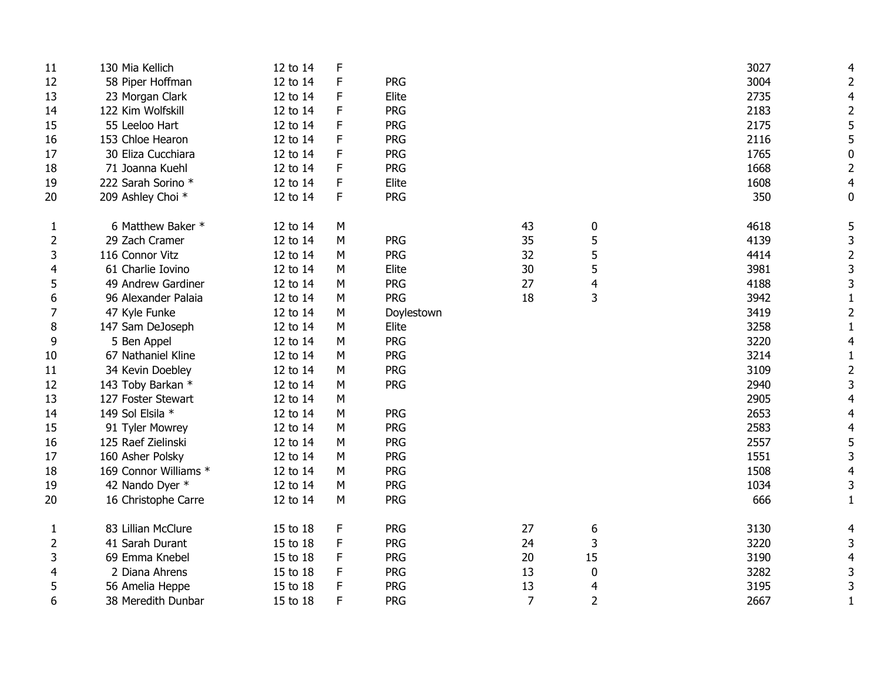| 11             | 130 Mia Kellich       | 12 to 14 | F |            |                |                | 3027 |                |
|----------------|-----------------------|----------|---|------------|----------------|----------------|------|----------------|
| 12             | 58 Piper Hoffman      | 12 to 14 | F | <b>PRG</b> |                |                | 3004 | 2              |
| 13             | 23 Morgan Clark       | 12 to 14 | F | Elite      |                |                | 2735 |                |
| 14             | 122 Kim Wolfskill     | 12 to 14 | F | <b>PRG</b> |                |                | 2183 |                |
| 15             | 55 Leeloo Hart        | 12 to 14 | F | <b>PRG</b> |                |                | 2175 |                |
| 16             | 153 Chloe Hearon      | 12 to 14 | F | <b>PRG</b> |                |                | 2116 |                |
| 17             | 30 Eliza Cucchiara    | 12 to 14 | F | <b>PRG</b> |                |                | 1765 | 0              |
| 18             | 71 Joanna Kuehl       | 12 to 14 | F | <b>PRG</b> |                |                | 1668 | $\overline{2}$ |
| 19             | 222 Sarah Sorino *    | 12 to 14 | F | Elite      |                |                | 1608 | 4              |
| 20             | 209 Ashley Choi *     | 12 to 14 | F | <b>PRG</b> |                |                | 350  | 0              |
| $\mathbf{1}$   | 6 Matthew Baker *     | 12 to 14 | M |            | 43             | 0              | 4618 |                |
| 2              | 29 Zach Cramer        | 12 to 14 | M | <b>PRG</b> | 35             | 5              | 4139 | 3              |
| 3              | 116 Connor Vitz       | 12 to 14 | М | <b>PRG</b> | 32             | 5              | 4414 | 2              |
| 4              | 61 Charlie Iovino     | 12 to 14 | М | Elite      | 30             | 5              | 3981 | 3              |
| 5              | 49 Andrew Gardiner    | 12 to 14 | М | <b>PRG</b> | 27             | 4              | 4188 | 3              |
| 6              | 96 Alexander Palaia   | 12 to 14 | М | <b>PRG</b> | 18             | 3              | 3942 |                |
| 7              | 47 Kyle Funke         | 12 to 14 | М | Doylestown |                |                | 3419 | 2              |
| 8              | 147 Sam DeJoseph      | 12 to 14 | М | Elite      |                |                | 3258 | 1              |
| 9              | 5 Ben Appel           | 12 to 14 | М | <b>PRG</b> |                |                | 3220 | 4              |
| 10             | 67 Nathaniel Kline    | 12 to 14 | М | <b>PRG</b> |                |                | 3214 | $\mathbf{1}$   |
| 11             | 34 Kevin Doebley      | 12 to 14 | М | <b>PRG</b> |                |                | 3109 | $\overline{2}$ |
| 12             | 143 Toby Barkan *     | 12 to 14 | М | <b>PRG</b> |                |                | 2940 | 3              |
| 13             | 127 Foster Stewart    | 12 to 14 | M |            |                |                | 2905 |                |
| 14             | 149 Sol Elsila *      | 12 to 14 | M | PRG        |                |                | 2653 |                |
| 15             | 91 Tyler Mowrey       | 12 to 14 | M | <b>PRG</b> |                |                | 2583 |                |
| 16             | 125 Raef Zielinski    | 12 to 14 | M | <b>PRG</b> |                |                | 2557 | 5              |
| 17             | 160 Asher Polsky      | 12 to 14 | М | <b>PRG</b> |                |                | 1551 | 3              |
| 18             | 169 Connor Williams * | 12 to 14 | М | <b>PRG</b> |                |                | 1508 |                |
| 19             | 42 Nando Dyer *       | 12 to 14 | M | <b>PRG</b> |                |                | 1034 | 3              |
| 20             | 16 Christophe Carre   | 12 to 14 | M | <b>PRG</b> |                |                | 666  | 1              |
| $\mathbf{1}$   | 83 Lillian McClure    | 15 to 18 | F | <b>PRG</b> | 27             | 6              | 3130 | 4              |
| $\overline{2}$ | 41 Sarah Durant       | 15 to 18 | F | <b>PRG</b> | 24             | 3              | 3220 | 3              |
| 3              | 69 Emma Knebel        | 15 to 18 | F | <b>PRG</b> | 20             | 15             | 3190 | 4              |
| 4              | 2 Diana Ahrens        | 15 to 18 | F | <b>PRG</b> | 13             | 0              | 3282 | 3              |
| 5              | 56 Amelia Heppe       | 15 to 18 | F | <b>PRG</b> | 13             | 4              | 3195 | 3              |
| 6              | 38 Meredith Dunbar    | 15 to 18 | F | <b>PRG</b> | $\overline{7}$ | $\overline{2}$ | 2667 | 1              |